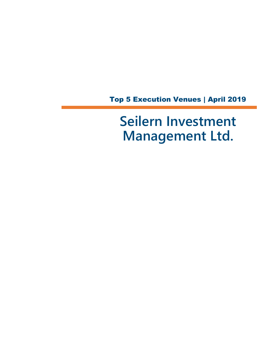Top 5 Execution Venues | April 2019

**Seilern Investment Management Ltd.**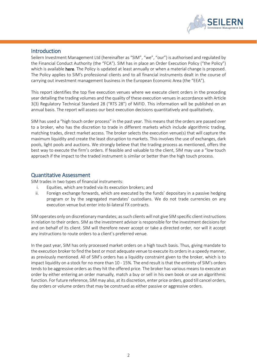

# **Introduction**

Seilern Investment Management Ltd (hereinafter as "SIM", "we", "our") is authorised and regulated by the Financial Conduct Authority (the "FCA"). SIM has in place an Order Execution Policy ("the Policy") which is available [here.](file://///si-ctera/Company%20Share/5.%20COMPLIANCE/3.%20POLICIES%20&%20PROCEDURES/POLICIES%202019/CURRENT%20POLICIES/SIM%20-%20Order%20%20Best%20Execution%20Policy%202019.docx) The Policy is updated at least annually or when a material change is proposed. The Policy applies to SIM's professional clients and to all financial instruments dealt in the course of carrying out investment management business in the European Economic Area (the "EEA").

This report identifies the top five execution venues where we execute client orders in the preceding year detailing the trading volumes and the quality of these execution venues in accordance with Article 3(3) Regulatory Technical Standard 28 ("RTS 28") of MiFID. This information will be published on an annual basis. The report will assess our best execution decisions quantitatively and qualitatively.

SIM has used a "high touch order process" in the past year. This means that the orders are passed over to a broker, who has the discretion to trade in different markets which include algorithmic trading, matching trades, direct market access. The broker selects the execution venue(s) that will capture the maximum liquidity and create the least disruption to markets. This involves the use of exchanges, dark pools, light pools and auctions. We strongly believe that the trading process as mentioned, offers the best way to execute the firm's orders. If feasible and valuable to the client, SIM may use a "low touch approach if the impact to the traded instrument is similar or better than the high touch process.

# Quantitative Assessment

SIM trades in two types of financial instruments:

- i. Equities, which are traded via its execution brokers; and
- ii. Foreign exchange forwards, which are executed by the funds' depositary in a passive hedging program or by the segregated mandates' custodians. We do not trade currencies on any execution venue but enter into bi-lateral FX contracts.

SIM operates only on discretionary mandates; as such clients will not give SIM specific client instructions in relation to their orders. SIM as the investment advisor is responsible for the investment decisions for and on behalf of its client. SIM will therefore never accept or take a directed order, nor will it accept any instructions to route orders to a client's preferred venue.

In the past year, SIM has only processed market orders on a high touch basis. Thus, giving mandate to the execution broker to find the best or most adequate venue to execute its orders in a speedy manner, as previously mentioned. All of SIM's orders has a liquidity constraint given to the broker, which is to impact liquidity on a stock for no more than 10 - 15%. The end result is that the entirety of SIM's orders tends to be aggressive orders as they hit the offered price. The broker has various means to execute an order by either entering an order manually, match a buy or sell in his own book or use an algorithmic function. For future reference, SIM may also, at its discretion, enter price orders, good till cancel orders, day orders or volume orders that may be construed as either passive or aggressive orders.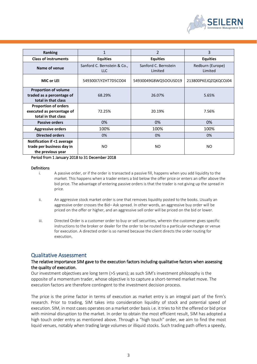

| <b>Ranking</b>                                                                  | $\mathbf{1}$                              | $\overline{2}$                  | 3                           |
|---------------------------------------------------------------------------------|-------------------------------------------|---------------------------------|-----------------------------|
| <b>Class of instruments</b>                                                     | <b>Equities</b>                           | <b>Equities</b>                 | <b>Equities</b>             |
| Name of venue                                                                   | Sanford C. Bernstein & Co.,<br><b>LLC</b> | Sanford C. Bernstein<br>Limited | Redburn (Europe)<br>Limited |
| MIC or LEI                                                                      | 54930017JYZHT7D5CO04                      | 54930049G8WQ5OOUSD19            | 213800PKEJQZQXQCOJ04        |
| <b>Proportion of volume</b><br>traded as a percentage of<br>total in that class | 68.29%                                    | 26.07%                          | 5.65%                       |
| <b>Proportion of orders</b><br>executed as percentage of<br>total in that class | 72.25%                                    | 20.19%                          | 7.56%                       |
| <b>Passive orders</b>                                                           | 0%                                        | 0%                              | 0%                          |
| <b>Aggressive orders</b>                                                        | 100%                                      | 100%                            | 100%                        |
| <b>Directed orders</b>                                                          | 0%                                        | 0%                              | 0%                          |
| Notification if <1 average<br>trade per business day in<br>the previous year    | NO.                                       | NO.                             | NO                          |

Period from 1 January 2018 to 31 December 2018

#### Definitions

- i. A passive order, or if the order is transacted a passive fill, happens when you add liquidity to the market. This happens when a trader enters a bid below the offer price or enters an offer above the bid price. The advantage of entering passive orders is that the trader is not giving up the spread in price.
- ii. An aggressive stock market order is one that removes liquidity posted to the books. Usually an aggressive order crosses the Bid– Ask spread. In other words, an aggressive buy order will be priced on the offer or higher, and an aggressive sell order will be priced on the bid or lower.
- iii. Directed Order is a customer order to buy or sell securities, wherein the customer gives specific instructions to the broker or dealer for the order to be routed to a particular exchange or venue for execution. A directed order is so named because the client directs the order routing for execution.

# Qualitative Assessment

## The relative importance SIM gave to the execution factors including qualitative factors when assessing the quality of execution.

Our investment objectives are long term (>5 years); as such SIM's investment philosophy is the opposite of a momentum trader, whose objective is to capture a short-termed market move. The execution factors are therefore contingent to the investment decision process.

The price is the prime factor in terms of execution as market entry is an integral part of the firm's research. Prior to trading, SIM takes into consideration liquidity of stock and potential speed of execution. SIM, in most cases operates on a market order basis i.e. it tries to hit the offered or bid price with minimal disruption to the market. In order to obtain the most efficient result, SIM has adopted a high touch order entry as mentioned above. Through a "high touch" order, we aim to find the most liquid venues, notably when trading large volumes or illiquid stocks. Such trading path offers a speedy,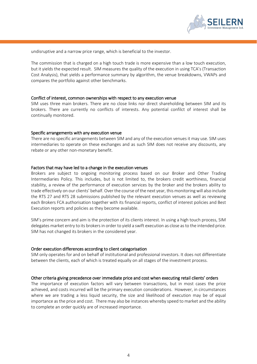

undisruptive and a narrow price range, which is beneficial to the investor.

The commission that is charged on a high touch trade is more expensive than a low touch execution, but it yields the expected result. SIM measures the quality of the execution in using TCA's (Transaction Cost Analysis), that yields a performance summary by algorithm, the venue breakdowns, VWAPs and compares the portfolio against other benchmarks.

#### Conflict of interest, common ownerships with respect to any execution venue

SIM uses three main brokers. There are no close links nor direct shareholding between SIM and its brokers. There are currently no conflicts of interests. Any potential confilct of interest shall be continually monitored.

#### Specific arrangements with any execution venue

There are no specific arrangements between SIM and any of the execution venues it may use. SIM uses intermediaries to operate on these exchanges and as such SIM does not receive any discounts, any rebate or any other non-monetary benefit.

#### Factors that may have led to a change in the execution venues

Brokers are subject to ongoing monitoring process based on our Broker and Other Trading Intermediaries Policy. This includes, but is not limited to, the brokers credit worthiness, financial stability, a review of the performance of execution services by the broker and the brokers ability to trade effectively on our clients' behalf. Over the course of the next year, this monitoring will also include the RTS 27 and RTS 28 submissions published by the relevant execution venues as well as reviewing each Brokers FCA authorisation together with its financial reports, conflict of interest policies and Best Execution reports and policies as they become available.

SIM's prime concern and aim is the protection of its clients interest. In using a high touch process, SIM delegates market entry to its brokers in order to yield a swift execution as close as to the intended price. SIM has not changed its brokers in the considered year.

#### Order execution differences according to client categorisation

SIM only operates for and on behalf of institutional and professional investors. It does not differentiate between the clients, each of which is treated equally on all stages of the investment process.

## Other criteria giving precedence over immediate price and cost when executing retail clients' orders

The importance of execution factors will vary between transactions, but in most cases the price achieved, and costs incurred will be the primary execution considerations. However, in circumstances where we are trading a less liquid security, the size and likelihood of execution may be of equal importance as the price and cost. There may also be instances whereby speed to market and the ability to complete an order quickly are of increased importance.